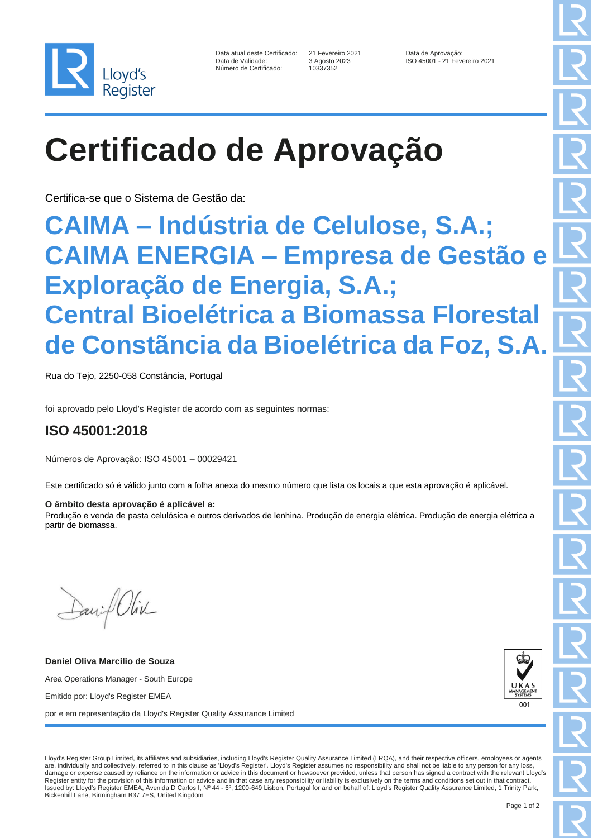

| Data atual deste Certificado: |
|-------------------------------|
| Data de Validade:             |
| Número de Certificado:        |

10337352

21 Fevereiro 2021 Data de Aprovação:<br>3 Agosto 2023 **Data de Aprovação:** ISO 45001 - 21 Fevereiro 2021

# **Certificado de Aprovação**

Certifica-se que o Sistema de Gestão da:

### **CAIMA – Indústria de Celulose, S.A.; CAIMA ENERGIA – Empresa de Gestão e Exploração de Energia, S.A.; Central Bioelétrica a Biomassa Florestal de Constãncia da Bioelétrica da Foz, S.A.**

Rua do Tejo, 2250-058 Constância, Portugal

foi aprovado pelo Lloyd's Register de acordo com as seguintes normas:

### **ISO 45001:2018**

Números de Aprovação: ISO 45001 – 00029421

Este certificado só é válido junto com a folha anexa do mesmo número que lista os locais a que esta aprovação é aplicável.

#### **O âmbito desta aprovação é aplicável a:**

Produção e venda de pasta celulósica e outros derivados de lenhina. Produção de energia elétrica. Produção de energia elétrica a partir de biomassa.

David Oliv

**Daniel Oliva Marcilio de Souza** Area Operations Manager - South Europe Emitido por: Lloyd's Register EMEA por e em representação da Lloyd's Register Quality Assurance Limited



Lloyd's Register Group Limited, its affiliates and subsidiaries, including Lloyd's Register Quality Assurance Limited (LRQA), and their respective officers, employees or agents are, individually and collectively, referred to in this clause as 'Lloyd's Register'. Lloyd's Register assumes no responsibility and shall not be liable to any person for any loss, damage or expense caused by reliance on the information or advice in this document or howsoever provided, unless that person has signed a contract with the relevant Lloyd's Register entity for the provision of this information or advice and in that case any responsibility or liability is exclusively on the terms and conditions set out in that contract. Issued by: Lloyd's Register EMEA, Avenida D Carlos I, Nº 44 - 6º, 1200-649 Lisbon, Portugal for and on behalf of: Lloyd's Register Quality Assurance Limited, 1 Trinity Park, Bickenhill Lane, Birmingham B37 7ES, United Kingdom